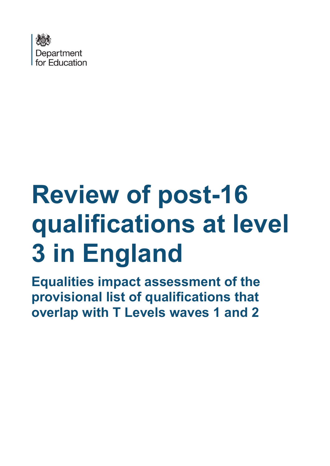

# **Review of post-16 qualifications at level 3 in England**

**Equalities impact assessment of the provisional list of qualifications that overlap with T Levels waves 1 and 2**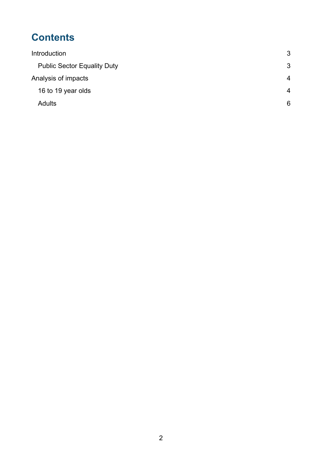## **Contents**

| Introduction                       | 3 |
|------------------------------------|---|
| <b>Public Sector Equality Duty</b> | 3 |
| Analysis of impacts                | 4 |
| 16 to 19 year olds                 | 4 |
| <b>Adults</b>                      | 6 |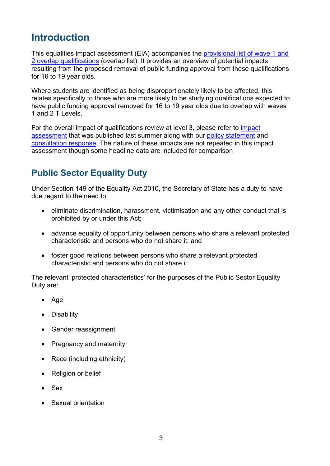## <span id="page-2-0"></span>**Introduction**

This equalities impact assessment (EIA) accompanies the [provisional list of wave 1 and](http://www.gov.uk/government/publications/qualifications-that-overlap-with-t-levels)  [2 overlap qualifications](http://www.gov.uk/government/publications/qualifications-that-overlap-with-t-levels) (overlap list). It provides an overview of potential impacts resulting from the proposed removal of public funding approval from these qualifications for 16 to 19 year olds.

Where students are identified as being disproportionately likely to be affected, this relates specifically to those who are more likely to be studying qualifications expected to have public funding approval removed for 16 to 19 year olds due to overlap with waves 1 and 2 T Levels.

For the overall impact of qualifications review at level 3, please refer to [impact](https://www.gov.uk/government/publications/review-of-post-16-qualifications-at-level-3-in-england)  [assessment](https://www.gov.uk/government/publications/review-of-post-16-qualifications-at-level-3-in-england) that was published last summer along with our [policy statement](https://www.gov.uk/government/publications/reforms-to-post-16-qualifications-at-level-3-in-england) and [consultation response.](https://www.gov.uk/government/consultations/review-of-post-16-qualifications-at-level-3-second-stage) The nature of these impacts are not repeated in this impact assessment though some headline data are included for comparison

## <span id="page-2-1"></span>**Public Sector Equality Duty**

Under Section 149 of the Equality Act 2010, the Secretary of State has a duty to have due regard to the need to:

- eliminate discrimination, harassment, victimisation and any other conduct that is prohibited by or under this Act;
- advance equality of opportunity between persons who share a relevant protected characteristic and persons who do not share it; and
- foster good relations between persons who share a relevant protected characteristic and persons who do not share it.

The relevant 'protected characteristics' for the purposes of the Public Sector Equality Duty are:

- Age
- Disability
- Gender reassignment
- Pregnancy and maternity
- Race (including ethnicity)
- Religion or belief
- Sex
- Sexual orientation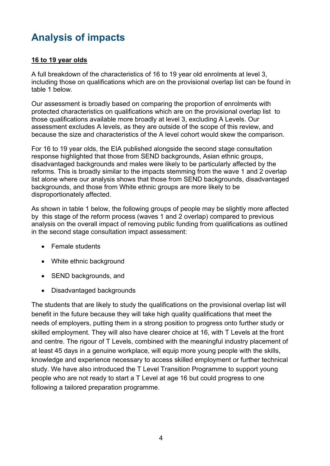## <span id="page-3-0"></span>**Analysis of impacts**

### <span id="page-3-1"></span>**16 to 19 year olds**

A full breakdown of the characteristics of 16 to 19 year old enrolments at level 3, including those on qualifications which are on the provisional overlap list can be found in table 1 below.

Our assessment is broadly based on comparing the proportion of enrolments with protected characteristics on qualifications which are on the provisional overlap list to those qualifications available more broadly at level 3, excluding A Levels. Our assessment excludes A levels, as they are outside of the scope of this review, and because the size and characteristics of the A level cohort would skew the comparison.

For 16 to 19 year olds, the EIA published alongside the second stage consultation response highlighted that those from SEND backgrounds, Asian ethnic groups, disadvantaged backgrounds and males were likely to be particularly affected by the reforms. This is broadly similar to the impacts stemming from the wave 1 and 2 overlap list alone where our analysis shows that those from SEND backgrounds, disadvantaged backgrounds, and those from White ethnic groups are more likely to be disproportionately affected.

As shown in table 1 below, the following groups of people may be slightly more affected by this stage of the reform process (waves 1 and 2 overlap) compared to previous analysis on the overall impact of removing public funding from qualifications as outlined in the second stage consultation impact assessment:

- Female students
- White ethnic background
- SEND backgrounds, and
- Disadvantaged backgrounds

The students that are likely to study the qualifications on the provisional overlap list will benefit in the future because they will take high quality qualifications that meet the needs of employers, putting them in a strong position to progress onto further study or skilled employment. They will also have clearer choice at 16, with T Levels at the front and centre. The rigour of T Levels, combined with the meaningful industry placement of at least 45 days in a genuine workplace, will equip more young people with the skills, knowledge and experience necessary to access skilled employment or further technical study. We have also introduced the T Level Transition Programme to support young people who are not ready to start a T Level at age 16 but could progress to one following a tailored preparation programme.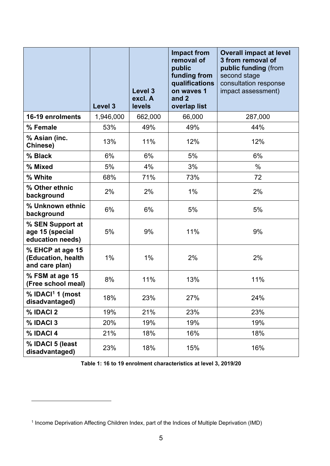|                                                          | Level 3   | Level 3<br>excl. A<br>levels | <b>Impact from</b><br>removal of<br>public<br>funding from<br>qualifications<br>on waves 1<br>and 2<br>overlap list | <b>Overall impact at level</b><br>3 from removal of<br>public funding (from<br>second stage<br>consultation response<br>impact assessment) |
|----------------------------------------------------------|-----------|------------------------------|---------------------------------------------------------------------------------------------------------------------|--------------------------------------------------------------------------------------------------------------------------------------------|
| 16-19 enrolments                                         | 1,946,000 | 662,000                      | 66,000                                                                                                              | 287,000                                                                                                                                    |
| % Female                                                 | 53%       | 49%                          | 49%                                                                                                                 | 44%                                                                                                                                        |
| % Asian (inc.<br>Chinese)                                | 13%       | 11%                          | 12%                                                                                                                 | 12%                                                                                                                                        |
| % Black                                                  | 6%        | 6%                           | 5%                                                                                                                  | 6%                                                                                                                                         |
| % Mixed                                                  | 5%        | 4%                           | 3%                                                                                                                  | $\frac{0}{0}$                                                                                                                              |
| % White                                                  | 68%       | 71%                          | 73%                                                                                                                 | 72                                                                                                                                         |
| % Other ethnic<br>background                             | 2%        | 2%                           | 1%                                                                                                                  | 2%                                                                                                                                         |
| % Unknown ethnic<br>background                           | 6%        | 6%                           | 5%                                                                                                                  | 5%                                                                                                                                         |
| % SEN Support at<br>age 15 (special<br>education needs)  | 5%        | 9%                           | 11%                                                                                                                 | 9%                                                                                                                                         |
| % EHCP at age 15<br>(Education, health<br>and care plan) | $1\%$     | 1%                           | 2%                                                                                                                  | 2%                                                                                                                                         |
| % FSM at age 15<br>(Free school meal)                    | 8%        | 11%                          | 13%                                                                                                                 | 11%                                                                                                                                        |
| % IDACI <sup>1</sup> 1 (most<br>disadvantaged)           | 18%       | 23%                          | 27%                                                                                                                 | 24%                                                                                                                                        |
| % IDACI 2                                                | 19%       | 21%                          | 23%                                                                                                                 | 23%                                                                                                                                        |
| % IDACI 3                                                | 20%       | 19%                          | 19%                                                                                                                 | 19%                                                                                                                                        |
| % IDACI 4                                                | 21%       | 18%                          | 16%                                                                                                                 | 18%                                                                                                                                        |
| % IDACI 5 (least<br>disadvantaged)                       | 23%       | 18%                          | 15%                                                                                                                 | 16%                                                                                                                                        |

**Table 1: 16 to 19 enrolment characteristics at level 3, 2019/20**

<span id="page-4-0"></span><sup>1</sup> Income Deprivation Affecting Children Index, part of the Indices of Multiple Deprivation (IMD)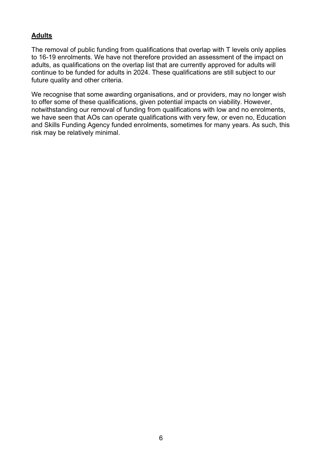#### <span id="page-5-0"></span>**Adults**

The removal of public funding from qualifications that overlap with T levels only applies to 16-19 enrolments. We have not therefore provided an assessment of the impact on adults, as qualifications on the overlap list that are currently approved for adults will continue to be funded for adults in 2024. These qualifications are still subject to our future quality and other criteria.

We recognise that some awarding organisations, and or providers, may no longer wish to offer some of these qualifications, given potential impacts on viability. However, notwithstanding our removal of funding from qualifications with low and no enrolments, we have seen that AOs can operate qualifications with very few, or even no, Education and Skills Funding Agency funded enrolments, sometimes for many years. As such, this risk may be relatively minimal.